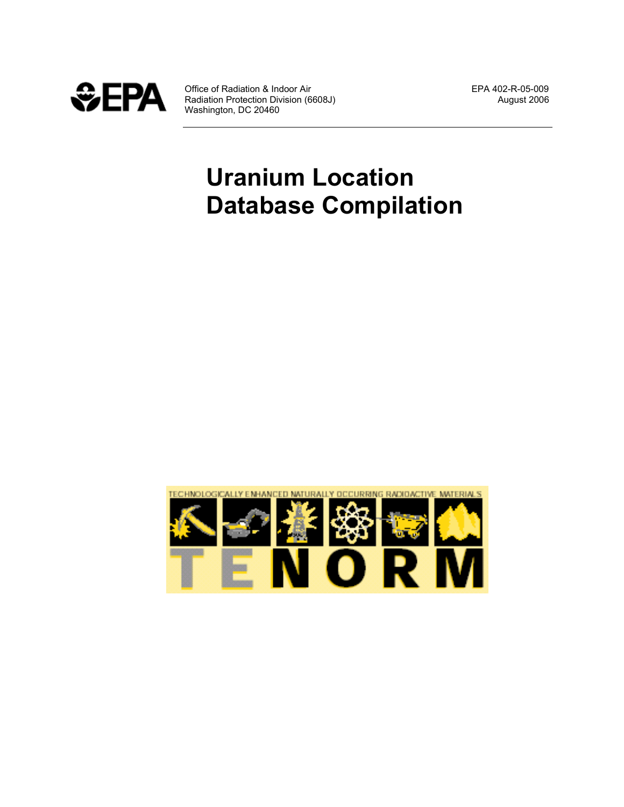

Office of Radiation & Indoor Air **EPA 402-R-05-009**<br>Radiation Protection Division (6608J) **August 2006** Radiation Protection Division (6608J) August 2006 Washington, DC 20460

# **Uranium Location Database Compilation**

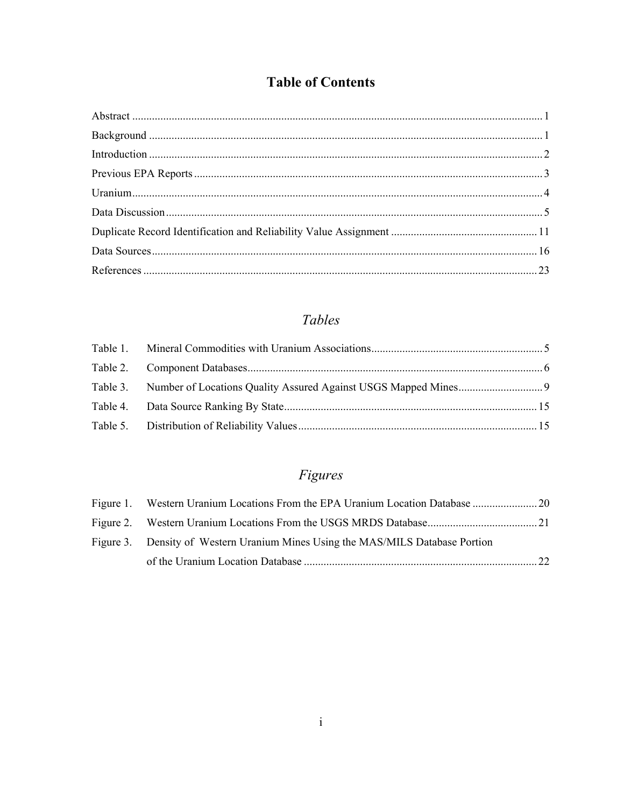### **Table of Contents**

## Tables

# Figures

| Figure 3. Density of Western Uranium Mines Using the MAS/MILS Database Portion |  |
|--------------------------------------------------------------------------------|--|
|                                                                                |  |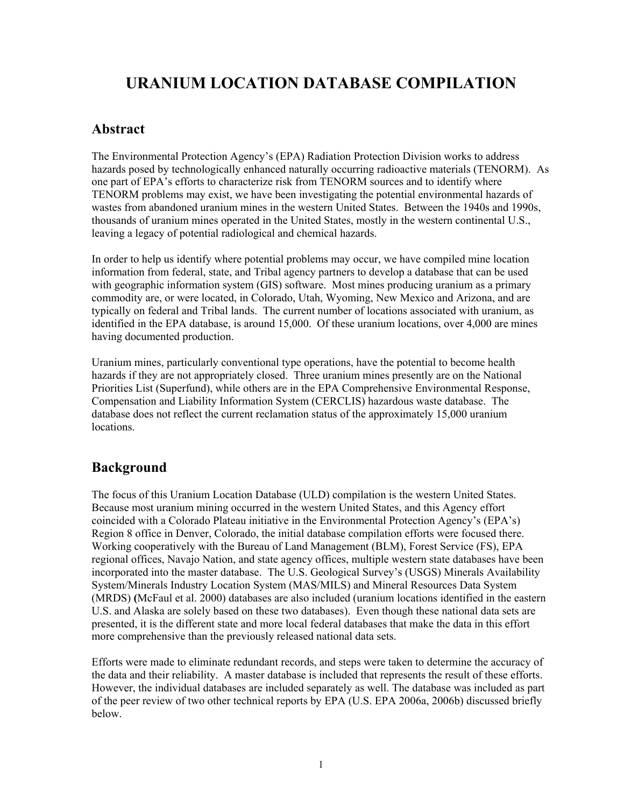# **URANIUM LOCATION DATABASE COMPILATION**

### **Abstract**

The Environmental Protection Agency's (EPA) Radiation Protection Division works to address hazards posed by technologically enhanced naturally occurring radioactive materials (TENORM). As one part of EPA's efforts to characterize risk from TENORM sources and to identify where TENORM problems may exist, we have been investigating the potential environmental hazards of wastes from abandoned uranium mines in the western United States. Between the 1940s and 1990s, thousands of uranium mines operated in the United States, mostly in the western continental U.S., leaving a legacy of potential radiological and chemical hazards.

In order to help us identify where potential problems may occur, we have compiled mine location information from federal, state, and Tribal agency partners to develop a database that can be used with geographic information system (GIS) software. Most mines producing uranium as a primary commodity are, or were located, in Colorado, Utah, Wyoming, New Mexico and Arizona, and are typically on federal and Tribal lands. The current number of locations associated with uranium, as identified in the EPA database, is around 15,000. Of these uranium locations, over 4,000 are mines having documented production.

Uranium mines, particularly conventional type operations, have the potential to become health hazards if they are not appropriately closed. Three uranium mines presently are on the National Priorities List (Superfund), while others are in the EPA Comprehensive Environmental Response, Compensation and Liability Information System (CERCLIS) hazardous waste database. The database does not reflect the current reclamation status of the approximately 15,000 uranium locations.

### **Background**

The focus of this Uranium Location Database (ULD) compilation is the western United States. Because most uranium mining occurred in the western United States, and this Agency effort coincided with a Colorado Plateau initiative in the Environmental Protection Agency's (EPA's) Region 8 office in Denver, Colorado, the initial database compilation efforts were focused there. Working cooperatively with the Bureau of Land Management (BLM), Forest Service (FS), EPA regional offices, Navajo Nation, and state agency offices, multiple western state databases have been incorporated into the master database. The U.S. Geological Survey's (USGS) Minerals Availability System/Minerals Industry Location System (MAS/MILS) and Mineral Resources Data System (MRDS) **(**McFaul et al. 2000) databases are also included (uranium locations identified in the eastern U.S. and Alaska are solely based on these two databases). Even though these national data sets are presented, it is the different state and more local federal databases that make the data in this effort more comprehensive than the previously released national data sets.

Efforts were made to eliminate redundant records, and steps were taken to determine the accuracy of the data and their reliability. A master database is included that represents the result of these efforts. However, the individual databases are included separately as well. The database was included as part of the peer review of two other technical reports by EPA (U.S. EPA 2006a, 2006b) discussed briefly below.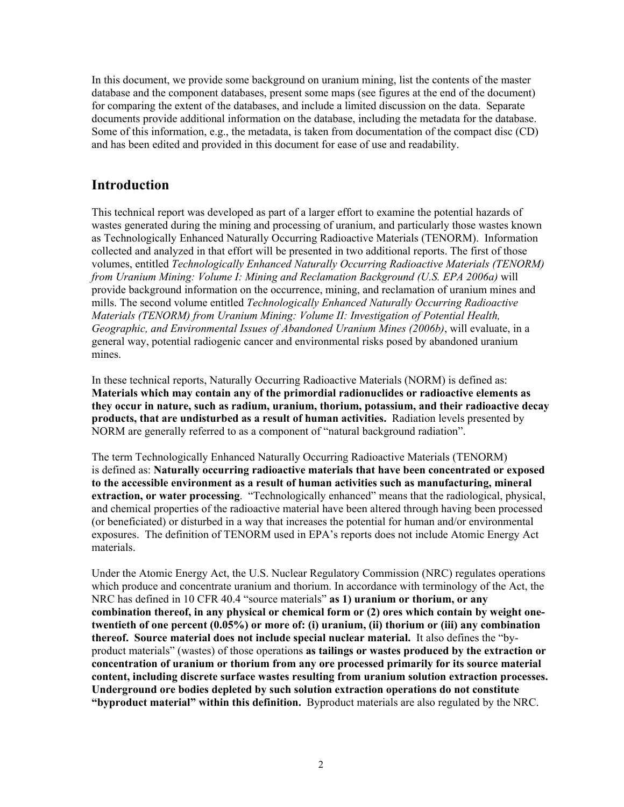In this document, we provide some background on uranium mining, list the contents of the master database and the component databases, present some maps (see figures at the end of the document) for comparing the extent of the databases, and include a limited discussion on the data. Separate documents provide additional information on the database, including the metadata for the database. Some of this information, e.g., the metadata, is taken from documentation of the compact disc (CD) and has been edited and provided in this document for ease of use and readability.

### **Introduction**

This technical report was developed as part of a larger effort to examine the potential hazards of wastes generated during the mining and processing of uranium, and particularly those wastes known as Technologically Enhanced Naturally Occurring Radioactive Materials (TENORM). Information collected and analyzed in that effort will be presented in two additional reports. The first of those volumes, entitled *Technologically Enhanced Naturally Occurring Radioactive Materials (TENORM) from Uranium Mining: Volume I: Mining and Reclamation Background (U.S. EPA 2006a)* will provide background information on the occurrence, mining, and reclamation of uranium mines and mills. The second volume entitled *Technologically Enhanced Naturally Occurring Radioactive Materials (TENORM) from Uranium Mining: Volume II: Investigation of Potential Health, Geographic, and Environmental Issues of Abandoned Uranium Mines (2006b)*, will evaluate, in a general way, potential radiogenic cancer and environmental risks posed by abandoned uranium mines.

In these technical reports, Naturally Occurring Radioactive Materials (NORM) is defined as: **Materials which may contain any of the primordial radionuclides or radioactive elements as they occur in nature, such as radium, uranium, thorium, potassium, and their radioactive decay products, that are undisturbed as a result of human activities.** Radiation levels presented by NORM are generally referred to as a component of "natural background radiation".

The term Technologically Enhanced Naturally Occurring Radioactive Materials (TENORM) is defined as: **Naturally occurring radioactive materials that have been concentrated or exposed to the accessible environment as a result of human activities such as manufacturing, mineral extraction, or water processing**. "Technologically enhanced" means that the radiological, physical, and chemical properties of the radioactive material have been altered through having been processed (or beneficiated) or disturbed in a way that increases the potential for human and/or environmental exposures. The definition of TENORM used in EPA's reports does not include Atomic Energy Act materials.

Under the Atomic Energy Act, the U.S. Nuclear Regulatory Commission (NRC) regulates operations which produce and concentrate uranium and thorium. In accordance with terminology of the Act, the NRC has defined in 10 CFR 40.4 "source materials" **as 1) uranium or thorium, or any combination thereof, in any physical or chemical form or (2) ores which contain by weight onetwentieth of one percent (0.05%) or more of: (i) uranium, (ii) thorium or (iii) any combination thereof. Source material does not include special nuclear material.** It also defines the "byproduct materials" (wastes) of those operations **as tailings or wastes produced by the extraction or concentration of uranium or thorium from any ore processed primarily for its source material content, including discrete surface wastes resulting from uranium solution extraction processes. Underground ore bodies depleted by such solution extraction operations do not constitute "byproduct material" within this definition.** Byproduct materials are also regulated by the NRC.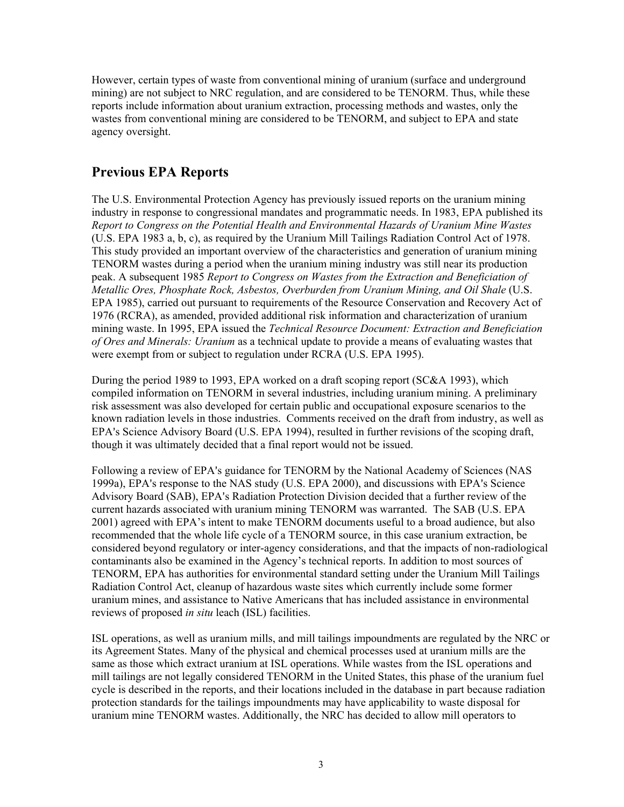However, certain types of waste from conventional mining of uranium (surface and underground mining) are not subject to NRC regulation, and are considered to be TENORM. Thus, while these reports include information about uranium extraction, processing methods and wastes, only the wastes from conventional mining are considered to be TENORM, and subject to EPA and state agency oversight.

### **Previous EPA Reports**

The U.S. Environmental Protection Agency has previously issued reports on the uranium mining industry in response to congressional mandates and programmatic needs. In 1983, EPA published its *Report to Congress on the Potential Health and Environmental Hazards of Uranium Mine Wastes*  (U.S. EPA 1983 a, b, c), as required by the Uranium Mill Tailings Radiation Control Act of 1978. This study provided an important overview of the characteristics and generation of uranium mining TENORM wastes during a period when the uranium mining industry was still near its production peak. A subsequent 1985 *Report to Congress on Wastes from the Extraction and Beneficiation of Metallic Ores, Phosphate Rock, Asbestos, Overburden from Uranium Mining, and Oil Shale* (U.S. EPA 1985), carried out pursuant to requirements of the Resource Conservation and Recovery Act of 1976 (RCRA), as amended, provided additional risk information and characterization of uranium mining waste. In 1995, EPA issued the *Technical Resource Document: Extraction and Beneficiation of Ores and Minerals: Uranium* as a technical update to provide a means of evaluating wastes that were exempt from or subject to regulation under RCRA (U.S. EPA 1995).

During the period 1989 to 1993, EPA worked on a draft scoping report (SC&A 1993), which compiled information on TENORM in several industries, including uranium mining. A preliminary risk assessment was also developed for certain public and occupational exposure scenarios to the known radiation levels in those industries. Comments received on the draft from industry, as well as EPA's Science Advisory Board (U.S. EPA 1994), resulted in further revisions of the scoping draft, though it was ultimately decided that a final report would not be issued.

Following a review of EPA's guidance for TENORM by the National Academy of Sciences (NAS 1999a), EPA's response to the NAS study (U.S. EPA 2000), and discussions with EPA's Science Advisory Board (SAB), EPA's Radiation Protection Division decided that a further review of the current hazards associated with uranium mining TENORM was warranted. The SAB (U.S. EPA 2001) agreed with EPA's intent to make TENORM documents useful to a broad audience, but also recommended that the whole life cycle of a TENORM source, in this case uranium extraction, be considered beyond regulatory or inter-agency considerations, and that the impacts of non-radiological contaminants also be examined in the Agency's technical reports. In addition to most sources of TENORM, EPA has authorities for environmental standard setting under the Uranium Mill Tailings Radiation Control Act, cleanup of hazardous waste sites which currently include some former uranium mines, and assistance to Native Americans that has included assistance in environmental reviews of proposed *in situ* leach (ISL) facilities.

ISL operations, as well as uranium mills, and mill tailings impoundments are regulated by the NRC or its Agreement States. Many of the physical and chemical processes used at uranium mills are the same as those which extract uranium at ISL operations. While wastes from the ISL operations and mill tailings are not legally considered TENORM in the United States, this phase of the uranium fuel cycle is described in the reports, and their locations included in the database in part because radiation protection standards for the tailings impoundments may have applicability to waste disposal for uranium mine TENORM wastes. Additionally, the NRC has decided to allow mill operators to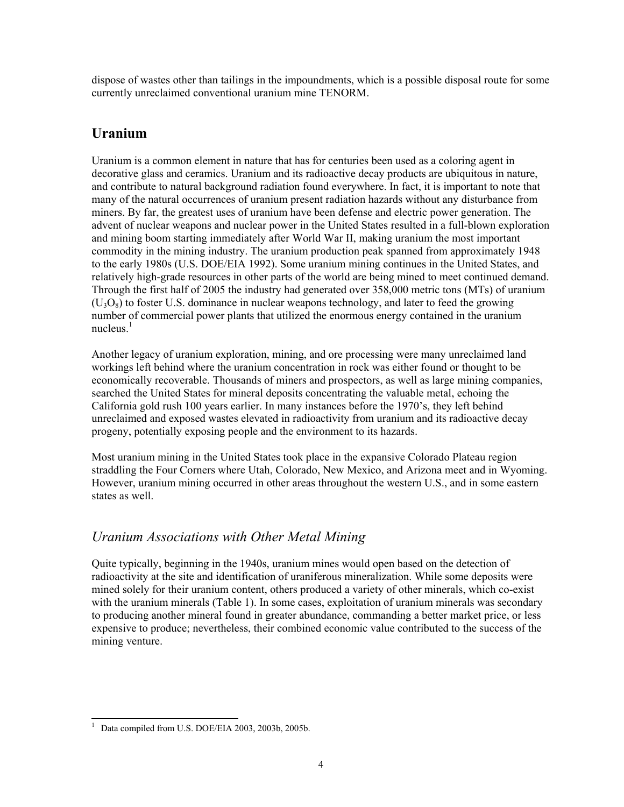dispose of wastes other than tailings in the impoundments, which is a possible disposal route for some currently unreclaimed conventional uranium mine TENORM.

### **Uranium**

Uranium is a common element in nature that has for centuries been used as a coloring agent in decorative glass and ceramics. Uranium and its radioactive decay products are ubiquitous in nature, and contribute to natural background radiation found everywhere. In fact, it is important to note that many of the natural occurrences of uranium present radiation hazards without any disturbance from miners. By far, the greatest uses of uranium have been defense and electric power generation. The advent of nuclear weapons and nuclear power in the United States resulted in a full-blown exploration and mining boom starting immediately after World War II, making uranium the most important commodity in the mining industry. The uranium production peak spanned from approximately 1948 to the early 1980s (U.S. DOE/EIA 1992). Some uranium mining continues in the United States, and relatively high-grade resources in other parts of the world are being mined to meet continued demand. Through the first half of 2005 the industry had generated over 358,000 metric tons (MTs) of uranium  $(U_3O_8)$  to foster U.S. dominance in nuclear weapons technology, and later to feed the growing number of commercial power plants that utilized the enormous energy contained in the uranium nucleus. $<sup>1</sup>$ </sup>

Another legacy of uranium exploration, mining, and ore processing were many unreclaimed land workings left behind where the uranium concentration in rock was either found or thought to be economically recoverable. Thousands of miners and prospectors, as well as large mining companies, searched the United States for mineral deposits concentrating the valuable metal, echoing the California gold rush 100 years earlier. In many instances before the 1970's, they left behind unreclaimed and exposed wastes elevated in radioactivity from uranium and its radioactive decay progeny, potentially exposing people and the environment to its hazards.

Most uranium mining in the United States took place in the expansive Colorado Plateau region straddling the Four Corners where Utah, Colorado, New Mexico, and Arizona meet and in Wyoming. However, uranium mining occurred in other areas throughout the western U.S., and in some eastern states as well.

### *Uranium Associations with Other Metal Mining*

Quite typically, beginning in the 1940s, uranium mines would open based on the detection of radioactivity at the site and identification of uraniferous mineralization. While some deposits were mined solely for their uranium content, others produced a variety of other minerals, which co-exist with the uranium minerals (Table 1). In some cases, exploitation of uranium minerals was secondary to producing another mineral found in greater abundance, commanding a better market price, or less expensive to produce; nevertheless, their combined economic value contributed to the success of the mining venture.

 $\overline{a}$ 1 Data compiled from U.S. DOE/EIA 2003, 2003b, 2005b.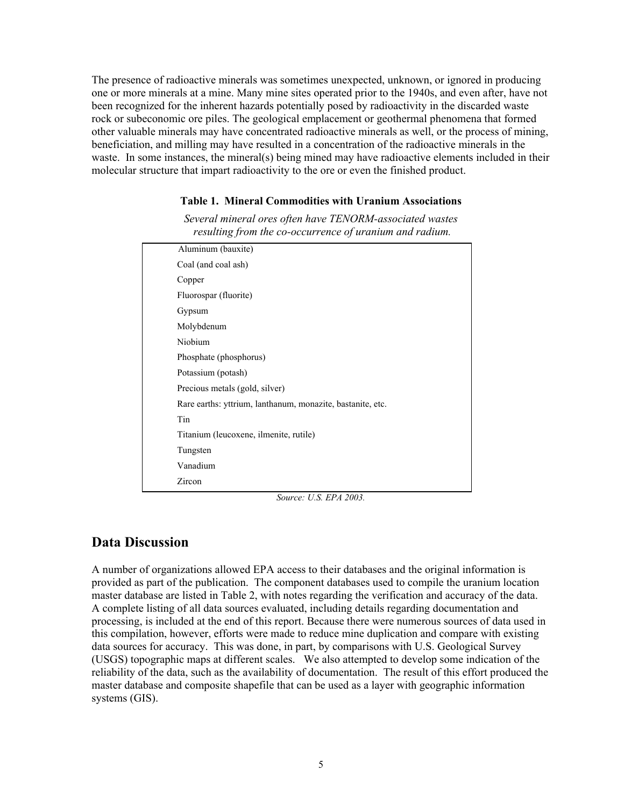The presence of radioactive minerals was sometimes unexpected, unknown, or ignored in producing one or more minerals at a mine. Many mine sites operated prior to the 1940s, and even after, have not been recognized for the inherent hazards potentially posed by radioactivity in the discarded waste rock or subeconomic ore piles. The geological emplacement or geothermal phenomena that formed other valuable minerals may have concentrated radioactive minerals as well, or the process of mining, beneficiation, and milling may have resulted in a concentration of the radioactive minerals in the waste. In some instances, the mineral(s) being mined may have radioactive elements included in their molecular structure that impart radioactivity to the ore or even the finished product.

#### **Table 1. Mineral Commodities with Uranium Associations**

*Several mineral ores often have TENORM-associated wastes resulting from the co-occurrence of uranium and radium.* 

| Aluminum (bauxite)                                         |
|------------------------------------------------------------|
| Coal (and coal ash)                                        |
| Copper                                                     |
| Fluorospar (fluorite)                                      |
| Gypsum                                                     |
| Molybdenum                                                 |
| Niobium                                                    |
| Phosphate (phosphorus)                                     |
| Potassium (potash)                                         |
| Precious metals (gold, silver)                             |
| Rare earths: yttrium, lanthanum, monazite, bastanite, etc. |
| Tin                                                        |
| Titanium (leucoxene, ilmenite, rutile)                     |
| Tungsten                                                   |
| Vanadium                                                   |
| Zircon                                                     |
|                                                            |

#### *Source: U.S. EPA 2003.*

### **Data Discussion**

A number of organizations allowed EPA access to their databases and the original information is provided as part of the publication. The component databases used to compile the uranium location master database are listed in Table 2, with notes regarding the verification and accuracy of the data. A complete listing of all data sources evaluated, including details regarding documentation and processing, is included at the end of this report. Because there were numerous sources of data used in this compilation, however, efforts were made to reduce mine duplication and compare with existing data sources for accuracy. This was done, in part, by comparisons with U.S. Geological Survey (USGS) topographic maps at different scales. We also attempted to develop some indication of the reliability of the data, such as the availability of documentation. The result of this effort produced the master database and composite shapefile that can be used as a layer with geographic information systems (GIS).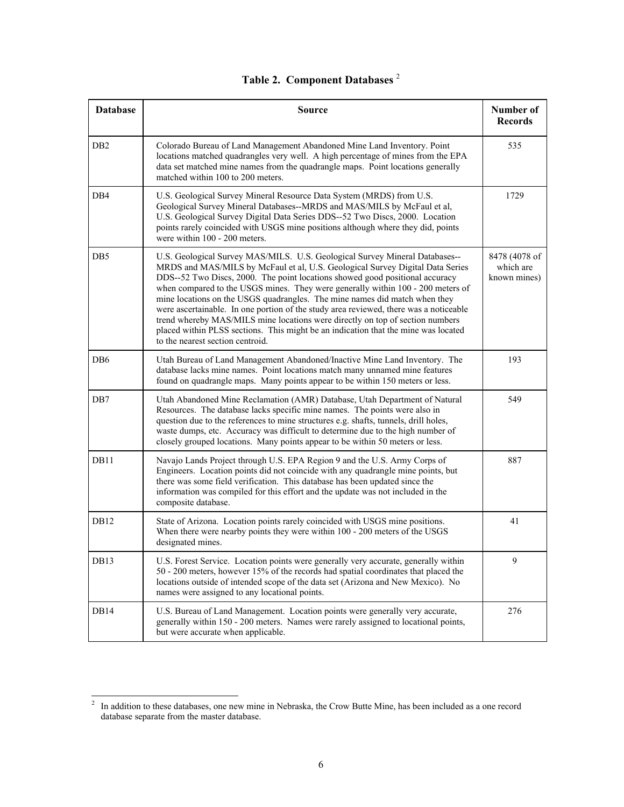| <b>Database</b>  | <b>Source</b>                                                                                                                                                                                                                                                                                                                                                                                                                                                                                                                                                                                                                                                                                                     | <b>Number of</b><br><b>Records</b>         |
|------------------|-------------------------------------------------------------------------------------------------------------------------------------------------------------------------------------------------------------------------------------------------------------------------------------------------------------------------------------------------------------------------------------------------------------------------------------------------------------------------------------------------------------------------------------------------------------------------------------------------------------------------------------------------------------------------------------------------------------------|--------------------------------------------|
| D <sub>B2</sub>  | Colorado Bureau of Land Management Abandoned Mine Land Inventory. Point<br>locations matched quadrangles very well. A high percentage of mines from the EPA<br>data set matched mine names from the quadrangle maps. Point locations generally<br>matched within 100 to 200 meters.                                                                                                                                                                                                                                                                                                                                                                                                                               | 535                                        |
| DB4              | U.S. Geological Survey Mineral Resource Data System (MRDS) from U.S.<br>Geological Survey Mineral Databases--MRDS and MAS/MILS by McFaul et al,<br>U.S. Geological Survey Digital Data Series DDS--52 Two Discs, 2000. Location<br>points rarely coincided with USGS mine positions although where they did, points<br>were within 100 - 200 meters.                                                                                                                                                                                                                                                                                                                                                              | 1729                                       |
| DB5              | U.S. Geological Survey MAS/MILS. U.S. Geological Survey Mineral Databases--<br>MRDS and MAS/MILS by McFaul et al, U.S. Geological Survey Digital Data Series<br>DDS--52 Two Discs, 2000. The point locations showed good positional accuracy<br>when compared to the USGS mines. They were generally within 100 - 200 meters of<br>mine locations on the USGS quadrangles. The mine names did match when they<br>were ascertainable. In one portion of the study area reviewed, there was a noticeable<br>trend whereby MAS/MILS mine locations were directly on top of section numbers<br>placed within PLSS sections. This might be an indication that the mine was located<br>to the nearest section centroid. | 8478 (4078 of<br>which are<br>known mines) |
| DB6              | Utah Bureau of Land Management Abandoned/Inactive Mine Land Inventory. The<br>database lacks mine names. Point locations match many unnamed mine features<br>found on quadrangle maps. Many points appear to be within 150 meters or less.                                                                                                                                                                                                                                                                                                                                                                                                                                                                        | 193                                        |
| DB7              | Utah Abandoned Mine Reclamation (AMR) Database, Utah Department of Natural<br>Resources. The database lacks specific mine names. The points were also in<br>question due to the references to mine structures e.g. shafts, tunnels, drill holes,<br>waste dumps, etc. Accuracy was difficult to determine due to the high number of<br>closely grouped locations. Many points appear to be within 50 meters or less.                                                                                                                                                                                                                                                                                              | 549                                        |
| DB11             | Navajo Lands Project through U.S. EPA Region 9 and the U.S. Army Corps of<br>Engineers. Location points did not coincide with any quadrangle mine points, but<br>there was some field verification. This database has been updated since the<br>information was compiled for this effort and the update was not included in the<br>composite database.                                                                                                                                                                                                                                                                                                                                                            | 887                                        |
| DB12             | State of Arizona. Location points rarely coincided with USGS mine positions.<br>When there were nearby points they were within 100 - 200 meters of the USGS<br>designated mines.                                                                                                                                                                                                                                                                                                                                                                                                                                                                                                                                  | 41                                         |
| DB13             | U.S. Forest Service. Location points were generally very accurate, generally within<br>50 - 200 meters, however 15% of the records had spatial coordinates that placed the<br>locations outside of intended scope of the data set (Arizona and New Mexico). No<br>names were assigned to any locational points.                                                                                                                                                                                                                                                                                                                                                                                                   | 9                                          |
| DB <sub>14</sub> | U.S. Bureau of Land Management. Location points were generally very accurate,<br>generally within 150 - 200 meters. Names were rarely assigned to locational points,<br>but were accurate when applicable.                                                                                                                                                                                                                                                                                                                                                                                                                                                                                                        | 276                                        |

### **Table 2. Component Databases** <sup>2</sup>

<sup>&</sup>lt;sup>2</sup> In addition to these databases, one new mine in Nebraska, the Crow Butte Mine, has been included as a one record database separate from the master database.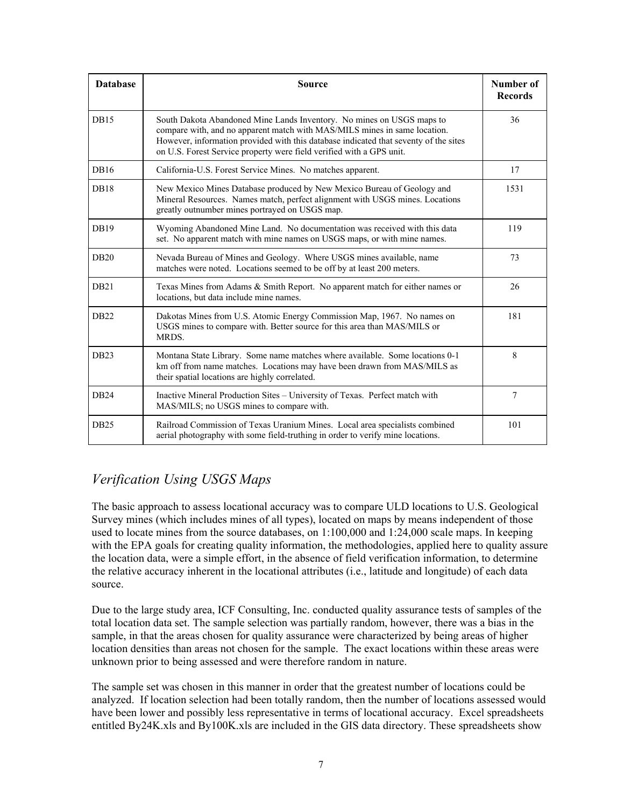| <b>Database</b>  | <b>Source</b>                                                                                                                                                                                                                                                                                                      | Number of<br><b>Records</b> |
|------------------|--------------------------------------------------------------------------------------------------------------------------------------------------------------------------------------------------------------------------------------------------------------------------------------------------------------------|-----------------------------|
| <b>DB15</b>      | South Dakota Abandoned Mine Lands Inventory. No mines on USGS maps to<br>compare with, and no apparent match with MAS/MILS mines in same location.<br>However, information provided with this database indicated that seventy of the sites<br>on U.S. Forest Service property were field verified with a GPS unit. | 36                          |
| <b>DB16</b>      | California-U.S. Forest Service Mines. No matches apparent.                                                                                                                                                                                                                                                         | 17                          |
| <b>DB18</b>      | New Mexico Mines Database produced by New Mexico Bureau of Geology and<br>Mineral Resources. Names match, perfect alignment with USGS mines. Locations<br>greatly outnumber mines portrayed on USGS map.                                                                                                           | 1531                        |
| DB19             | Wyoming Abandoned Mine Land. No documentation was received with this data<br>set. No apparent match with mine names on USGS maps, or with mine names.                                                                                                                                                              | 119                         |
| <b>DB20</b>      | Nevada Bureau of Mines and Geology. Where USGS mines available, name<br>matches were noted. Locations seemed to be off by at least 200 meters.                                                                                                                                                                     | 73                          |
| DB21             | Texas Mines from Adams & Smith Report. No apparent match for either names or<br>locations, but data include mine names.                                                                                                                                                                                            | 26                          |
| <b>DB22</b>      | Dakotas Mines from U.S. Atomic Energy Commission Map, 1967. No names on<br>USGS mines to compare with. Better source for this area than MAS/MILS or<br>MRDS.                                                                                                                                                       | 181                         |
| DB <sub>23</sub> | Montana State Library. Some name matches where available. Some locations 0-1<br>km off from name matches. Locations may have been drawn from MAS/MILS as<br>their spatial locations are highly correlated.                                                                                                         | 8                           |
| <b>DB24</b>      | Inactive Mineral Production Sites - University of Texas. Perfect match with<br>MAS/MILS; no USGS mines to compare with.                                                                                                                                                                                            | 7                           |
| DB <sub>25</sub> | Railroad Commission of Texas Uranium Mines. Local area specialists combined<br>aerial photography with some field-truthing in order to verify mine locations.                                                                                                                                                      | 101                         |

### *Verification Using USGS Maps*

The basic approach to assess locational accuracy was to compare ULD locations to U.S. Geological Survey mines (which includes mines of all types), located on maps by means independent of those used to locate mines from the source databases, on 1:100,000 and 1:24,000 scale maps. In keeping with the EPA goals for creating quality information, the methodologies, applied here to quality assure the location data, were a simple effort, in the absence of field verification information, to determine the relative accuracy inherent in the locational attributes (i.e., latitude and longitude) of each data source.

Due to the large study area, ICF Consulting, Inc. conducted quality assurance tests of samples of the total location data set. The sample selection was partially random, however, there was a bias in the sample, in that the areas chosen for quality assurance were characterized by being areas of higher location densities than areas not chosen for the sample. The exact locations within these areas were unknown prior to being assessed and were therefore random in nature.

The sample set was chosen in this manner in order that the greatest number of locations could be analyzed. If location selection had been totally random, then the number of locations assessed would have been lower and possibly less representative in terms of locational accuracy. Excel spreadsheets entitled By24K.xls and By100K.xls are included in the GIS data directory. These spreadsheets show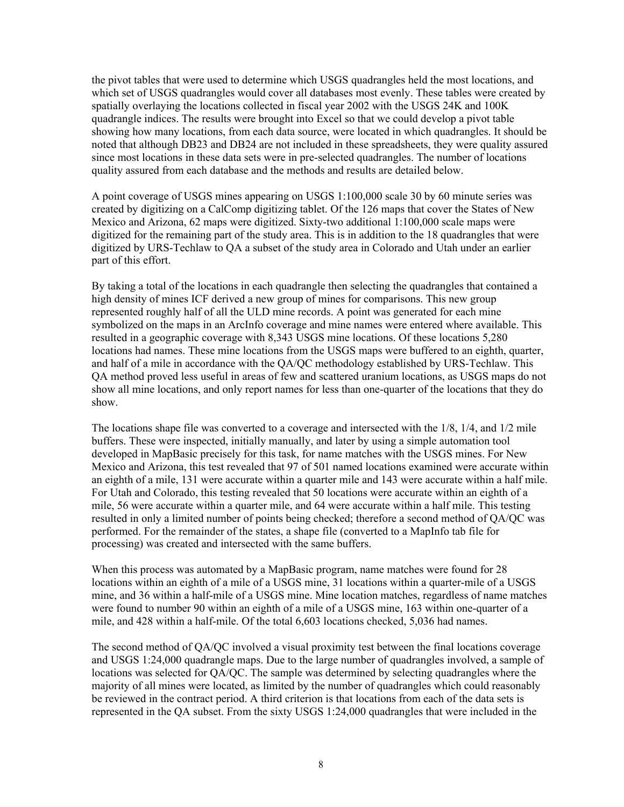the pivot tables that were used to determine which USGS quadrangles held the most locations, and which set of USGS quadrangles would cover all databases most evenly. These tables were created by spatially overlaying the locations collected in fiscal year 2002 with the USGS 24K and 100K quadrangle indices. The results were brought into Excel so that we could develop a pivot table showing how many locations, from each data source, were located in which quadrangles. It should be noted that although DB23 and DB24 are not included in these spreadsheets, they were quality assured since most locations in these data sets were in pre-selected quadrangles. The number of locations quality assured from each database and the methods and results are detailed below.

A point coverage of USGS mines appearing on USGS 1:100,000 scale 30 by 60 minute series was created by digitizing on a CalComp digitizing tablet. Of the 126 maps that cover the States of New Mexico and Arizona, 62 maps were digitized. Sixty-two additional 1:100,000 scale maps were digitized for the remaining part of the study area. This is in addition to the 18 quadrangles that were digitized by URS-Techlaw to QA a subset of the study area in Colorado and Utah under an earlier part of this effort.

By taking a total of the locations in each quadrangle then selecting the quadrangles that contained a high density of mines ICF derived a new group of mines for comparisons. This new group represented roughly half of all the ULD mine records. A point was generated for each mine symbolized on the maps in an ArcInfo coverage and mine names were entered where available. This resulted in a geographic coverage with 8,343 USGS mine locations. Of these locations 5,280 locations had names. These mine locations from the USGS maps were buffered to an eighth, quarter, and half of a mile in accordance with the QA/QC methodology established by URS-Techlaw. This QA method proved less useful in areas of few and scattered uranium locations, as USGS maps do not show all mine locations, and only report names for less than one-quarter of the locations that they do show.

The locations shape file was converted to a coverage and intersected with the 1/8, 1/4, and 1/2 mile buffers. These were inspected, initially manually, and later by using a simple automation tool developed in MapBasic precisely for this task, for name matches with the USGS mines. For New Mexico and Arizona, this test revealed that 97 of 501 named locations examined were accurate within an eighth of a mile, 131 were accurate within a quarter mile and 143 were accurate within a half mile. For Utah and Colorado, this testing revealed that 50 locations were accurate within an eighth of a mile, 56 were accurate within a quarter mile, and 64 were accurate within a half mile. This testing resulted in only a limited number of points being checked; therefore a second method of QA/QC was performed. For the remainder of the states, a shape file (converted to a MapInfo tab file for processing) was created and intersected with the same buffers.

When this process was automated by a MapBasic program, name matches were found for 28 locations within an eighth of a mile of a USGS mine, 31 locations within a quarter-mile of a USGS mine, and 36 within a half-mile of a USGS mine. Mine location matches, regardless of name matches were found to number 90 within an eighth of a mile of a USGS mine, 163 within one-quarter of a mile, and 428 within a half-mile. Of the total 6,603 locations checked, 5,036 had names.

The second method of QA/QC involved a visual proximity test between the final locations coverage and USGS 1:24,000 quadrangle maps. Due to the large number of quadrangles involved, a sample of locations was selected for QA/QC. The sample was determined by selecting quadrangles where the majority of all mines were located, as limited by the number of quadrangles which could reasonably be reviewed in the contract period. A third criterion is that locations from each of the data sets is represented in the QA subset. From the sixty USGS 1:24,000 quadrangles that were included in the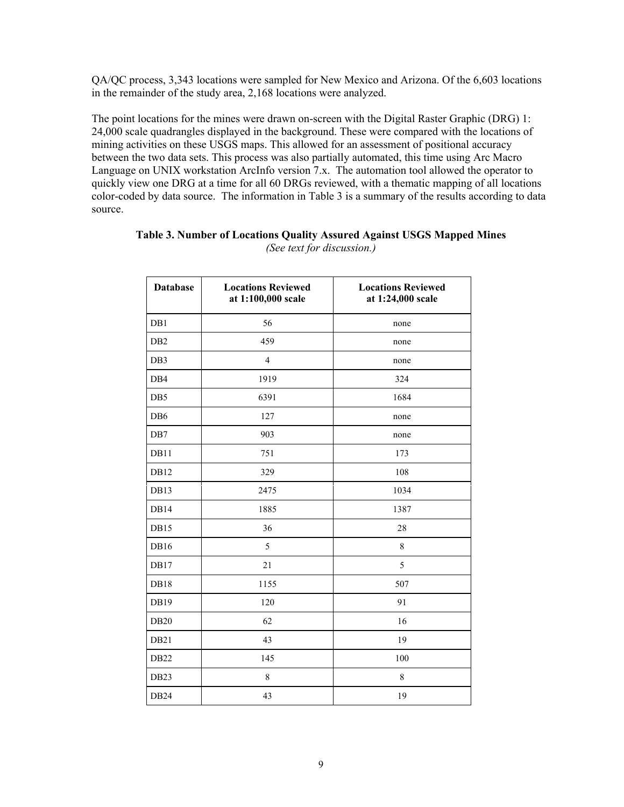QA/QC process, 3,343 locations were sampled for New Mexico and Arizona. Of the 6,603 locations in the remainder of the study area, 2,168 locations were analyzed.

The point locations for the mines were drawn on-screen with the Digital Raster Graphic (DRG) 1: 24,000 scale quadrangles displayed in the background. These were compared with the locations of mining activities on these USGS maps. This allowed for an assessment of positional accuracy between the two data sets. This process was also partially automated, this time using Arc Macro Language on UNIX workstation ArcInfo version 7.x. The automation tool allowed the operator to quickly view one DRG at a time for all 60 DRGs reviewed, with a thematic mapping of all locations color-coded by data source. The information in Table 3 is a summary of the results according to data source.

| <b>Database</b>  | <b>Locations Reviewed</b><br>at 1:100,000 scale | <b>Locations Reviewed</b><br>at 1:24,000 scale |
|------------------|-------------------------------------------------|------------------------------------------------|
| DB1              | 56                                              | none                                           |
| D <sub>B2</sub>  | 459                                             | none                                           |
| DB3              | $\overline{4}$                                  | none                                           |
| DB <sub>4</sub>  | 1919                                            | 324                                            |
| DB5              | 6391                                            | 1684                                           |
| DB <sub>6</sub>  | 127                                             | none                                           |
| DB7              | 903                                             | none                                           |
| DB11             | 751                                             | 173                                            |
| DB12             | 329                                             | 108                                            |
| DB13             | 2475                                            | 1034                                           |
| DB14             | 1885                                            | 1387                                           |
| DB15             | 36                                              | 28                                             |
| DB16             | 5                                               | 8                                              |
| DB17             | 21                                              | 5                                              |
| DB18             | 1155                                            | 507                                            |
| DB19             | 120                                             | 91                                             |
| <b>DB20</b>      | 62                                              | 16                                             |
| DB21             | 43                                              | 19                                             |
| DB22             | 145                                             | 100                                            |
| DB <sub>23</sub> | $\,8\,$                                         | $\,8\,$                                        |
| DB <sub>24</sub> | 43                                              | 19                                             |

#### **Table 3. Number of Locations Quality Assured Against USGS Mapped Mines** *(See text for discussion.)*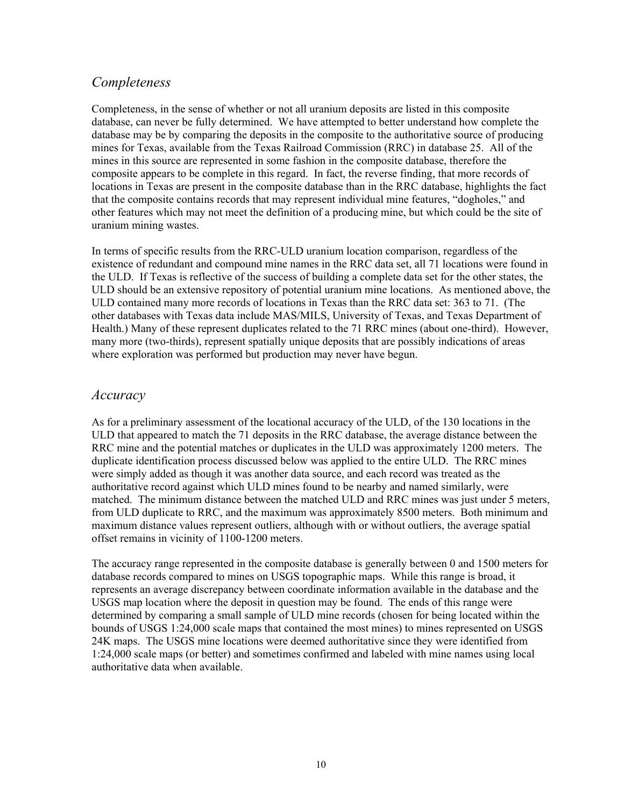### *Completeness*

Completeness, in the sense of whether or not all uranium deposits are listed in this composite database, can never be fully determined. We have attempted to better understand how complete the database may be by comparing the deposits in the composite to the authoritative source of producing mines for Texas, available from the Texas Railroad Commission (RRC) in database 25. All of the mines in this source are represented in some fashion in the composite database, therefore the composite appears to be complete in this regard. In fact, the reverse finding, that more records of locations in Texas are present in the composite database than in the RRC database, highlights the fact that the composite contains records that may represent individual mine features, "dogholes," and other features which may not meet the definition of a producing mine, but which could be the site of uranium mining wastes.

In terms of specific results from the RRC-ULD uranium location comparison, regardless of the existence of redundant and compound mine names in the RRC data set, all 71 locations were found in the ULD. If Texas is reflective of the success of building a complete data set for the other states, the ULD should be an extensive repository of potential uranium mine locations. As mentioned above, the ULD contained many more records of locations in Texas than the RRC data set: 363 to 71. (The other databases with Texas data include MAS/MILS, University of Texas, and Texas Department of Health.) Many of these represent duplicates related to the 71 RRC mines (about one-third). However, many more (two-thirds), represent spatially unique deposits that are possibly indications of areas where exploration was performed but production may never have begun.

### *Accuracy*

As for a preliminary assessment of the locational accuracy of the ULD, of the 130 locations in the ULD that appeared to match the 71 deposits in the RRC database, the average distance between the RRC mine and the potential matches or duplicates in the ULD was approximately 1200 meters. The duplicate identification process discussed below was applied to the entire ULD. The RRC mines were simply added as though it was another data source, and each record was treated as the authoritative record against which ULD mines found to be nearby and named similarly, were matched. The minimum distance between the matched ULD and RRC mines was just under 5 meters, from ULD duplicate to RRC, and the maximum was approximately 8500 meters. Both minimum and maximum distance values represent outliers, although with or without outliers, the average spatial offset remains in vicinity of 1100-1200 meters.

The accuracy range represented in the composite database is generally between 0 and 1500 meters for database records compared to mines on USGS topographic maps. While this range is broad, it represents an average discrepancy between coordinate information available in the database and the USGS map location where the deposit in question may be found. The ends of this range were determined by comparing a small sample of ULD mine records (chosen for being located within the bounds of USGS 1:24,000 scale maps that contained the most mines) to mines represented on USGS 24K maps. The USGS mine locations were deemed authoritative since they were identified from 1:24,000 scale maps (or better) and sometimes confirmed and labeled with mine names using local authoritative data when available.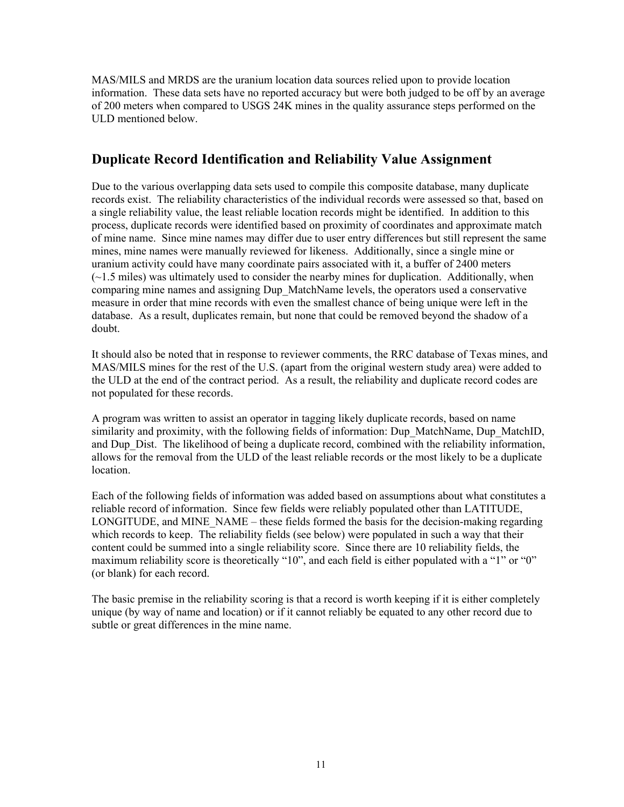MAS/MILS and MRDS are the uranium location data sources relied upon to provide location information. These data sets have no reported accuracy but were both judged to be off by an average of 200 meters when compared to USGS 24K mines in the quality assurance steps performed on the ULD mentioned below.

### **Duplicate Record Identification and Reliability Value Assignment**

Due to the various overlapping data sets used to compile this composite database, many duplicate records exist. The reliability characteristics of the individual records were assessed so that, based on a single reliability value, the least reliable location records might be identified. In addition to this process, duplicate records were identified based on proximity of coordinates and approximate match of mine name. Since mine names may differ due to user entry differences but still represent the same mines, mine names were manually reviewed for likeness. Additionally, since a single mine or uranium activity could have many coordinate pairs associated with it, a buffer of 2400 meters  $(-1.5 \text{ miles})$  was ultimately used to consider the nearby mines for duplication. Additionally, when comparing mine names and assigning Dup\_MatchName levels, the operators used a conservative measure in order that mine records with even the smallest chance of being unique were left in the database. As a result, duplicates remain, but none that could be removed beyond the shadow of a doubt.

It should also be noted that in response to reviewer comments, the RRC database of Texas mines, and MAS/MILS mines for the rest of the U.S. (apart from the original western study area) were added to the ULD at the end of the contract period. As a result, the reliability and duplicate record codes are not populated for these records.

A program was written to assist an operator in tagging likely duplicate records, based on name similarity and proximity, with the following fields of information: Dup\_MatchName, Dup\_MatchID, and Dup Dist. The likelihood of being a duplicate record, combined with the reliability information, allows for the removal from the ULD of the least reliable records or the most likely to be a duplicate location.

Each of the following fields of information was added based on assumptions about what constitutes a reliable record of information. Since few fields were reliably populated other than LATITUDE, LONGITUDE, and MINE NAME – these fields formed the basis for the decision-making regarding which records to keep. The reliability fields (see below) were populated in such a way that their content could be summed into a single reliability score. Since there are 10 reliability fields, the maximum reliability score is theoretically "10", and each field is either populated with a "1" or "0" (or blank) for each record.

The basic premise in the reliability scoring is that a record is worth keeping if it is either completely unique (by way of name and location) or if it cannot reliably be equated to any other record due to subtle or great differences in the mine name.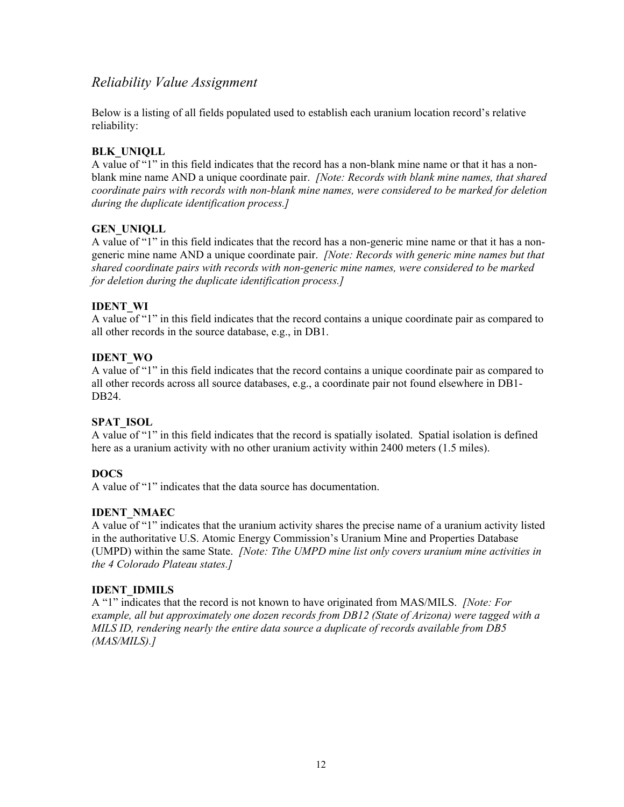### *Reliability Value Assignment*

Below is a listing of all fields populated used to establish each uranium location record's relative reliability:

### **BLK\_UNIQLL**

A value of "1" in this field indicates that the record has a non-blank mine name or that it has a nonblank mine name AND a unique coordinate pair. *[Note: Records with blank mine names, that shared coordinate pairs with records with non-blank mine names, were considered to be marked for deletion during the duplicate identification process.]*

### **GEN\_UNIQLL**

A value of "1" in this field indicates that the record has a non-generic mine name or that it has a nongeneric mine name AND a unique coordinate pair. *[Note: Records with generic mine names but that shared coordinate pairs with records with non-generic mine names, were considered to be marked for deletion during the duplicate identification process.]*

### **IDENT\_WI**

A value of "1" in this field indicates that the record contains a unique coordinate pair as compared to all other records in the source database, e.g., in DB1.

### **IDENT\_WO**

A value of "1" in this field indicates that the record contains a unique coordinate pair as compared to all other records across all source databases, e.g., a coordinate pair not found elsewhere in DB1- DB24.

### **SPAT\_ISOL**

A value of "1" in this field indicates that the record is spatially isolated. Spatial isolation is defined here as a uranium activity with no other uranium activity within 2400 meters (1.5 miles).

### **DOCS**

A value of "1" indicates that the data source has documentation.

### **IDENT\_NMAEC**

A value of "1" indicates that the uranium activity shares the precise name of a uranium activity listed in the authoritative U.S. Atomic Energy Commission's Uranium Mine and Properties Database (UMPD) within the same State. *[Note: Tthe UMPD mine list only covers uranium mine activities in the 4 Colorado Plateau states.]*

### **IDENT\_IDMILS**

A "1" indicates that the record is not known to have originated from MAS/MILS. *[Note: For example, all but approximately one dozen records from DB12 (State of Arizona) were tagged with a MILS ID, rendering nearly the entire data source a duplicate of records available from DB5 (MAS/MILS).]*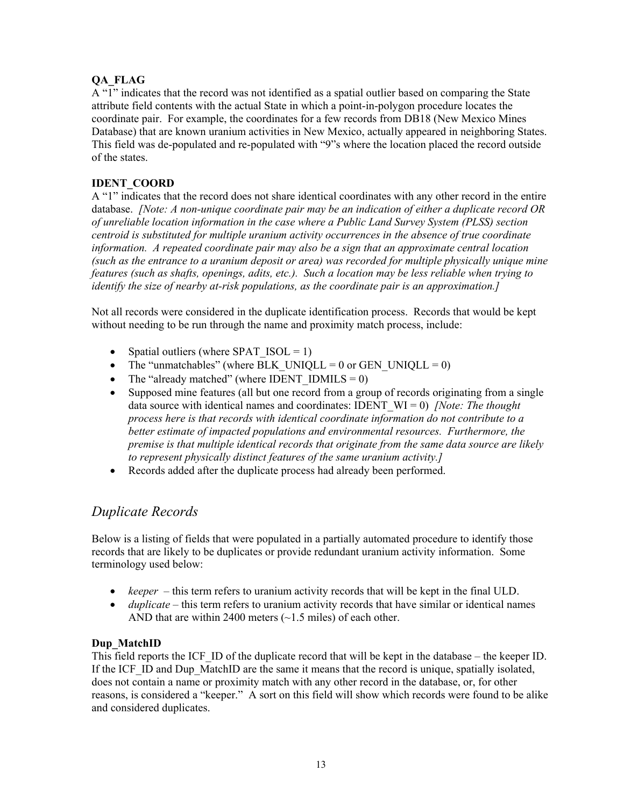### **QA\_FLAG**

A "1" indicates that the record was not identified as a spatial outlier based on comparing the State attribute field contents with the actual State in which a point-in-polygon procedure locates the coordinate pair. For example, the coordinates for a few records from DB18 (New Mexico Mines Database) that are known uranium activities in New Mexico, actually appeared in neighboring States. This field was de-populated and re-populated with "9"s where the location placed the record outside of the states.

### **IDENT\_COORD**

A "1" indicates that the record does not share identical coordinates with any other record in the entire database. *[Note: A non-unique coordinate pair may be an indication of either a duplicate record OR of unreliable location information in the case where a Public Land Survey System (PLSS) section centroid is substituted for multiple uranium activity occurrences in the absence of true coordinate information. A repeated coordinate pair may also be a sign that an approximate central location (such as the entrance to a uranium deposit or area) was recorded for multiple physically unique mine features (such as shafts, openings, adits, etc.). Such a location may be less reliable when trying to identify the size of nearby at-risk populations, as the coordinate pair is an approximation.]*

Not all records were considered in the duplicate identification process. Records that would be kept without needing to be run through the name and proximity match process, include:

- Spatial outliers (where SPAT  $ISOL = 1$ )
- The "unmatchables" (where BLK\_UNIQLL = 0 or GEN\_UNIQLL = 0)
- The "already matched" (where IDENT IDMILS =  $0$ )
- Supposed mine features (all but one record from a group of records originating from a single data source with identical names and coordinates: IDENT\_WI = 0) *[Note: The thought process here is that records with identical coordinate information do not contribute to a better estimate of impacted populations and environmental resources. Furthermore, the premise is that multiple identical records that originate from the same data source are likely to represent physically distinct features of the same uranium activity.]*
- Records added after the duplicate process had already been performed.

### *Duplicate Records*

Below is a listing of fields that were populated in a partially automated procedure to identify those records that are likely to be duplicates or provide redundant uranium activity information. Some terminology used below:

- *keeper* this term refers to uranium activity records that will be kept in the final ULD.
- *duplicate* this term refers to uranium activity records that have similar or identical names AND that are within 2400 meters (~1.5 miles) of each other.

### **Dup\_MatchID**

This field reports the ICF ID of the duplicate record that will be kept in the database – the keeper ID. If the ICF ID and Dup MatchID are the same it means that the record is unique, spatially isolated, does not contain a name or proximity match with any other record in the database, or, for other reasons, is considered a "keeper." A sort on this field will show which records were found to be alike and considered duplicates.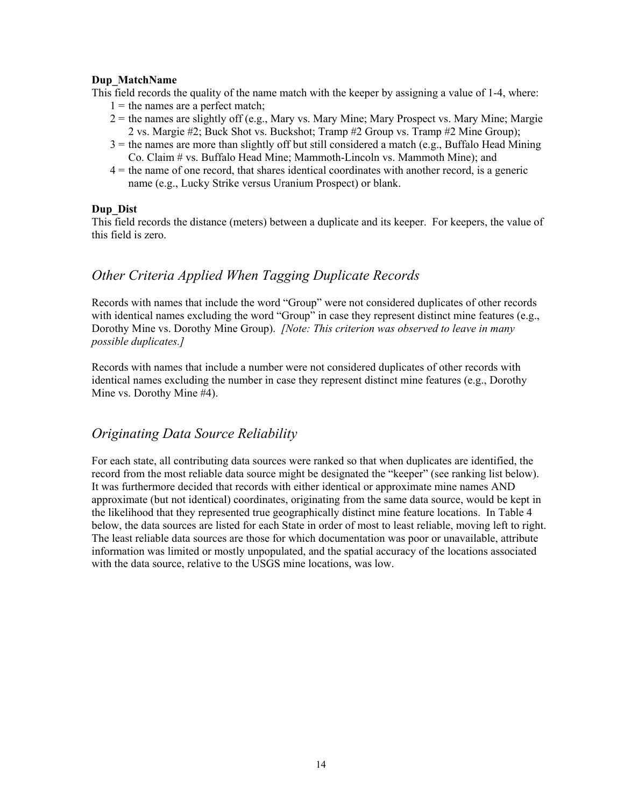### **Dup\_MatchName**

This field records the quality of the name match with the keeper by assigning a value of 1-4, where:

- $1 =$  the names are a perfect match;
- $2 =$  the names are slightly off (e.g., Mary vs. Mary Mine; Mary Prospect vs. Mary Mine; Margie 2 vs. Margie #2; Buck Shot vs. Buckshot; Tramp #2 Group vs. Tramp #2 Mine Group);
- $3$  = the names are more than slightly off but still considered a match (e.g., Buffalo Head Mining Co. Claim # vs. Buffalo Head Mine; Mammoth-Lincoln vs. Mammoth Mine); and
- 4 = the name of one record, that shares identical coordinates with another record, is a generic name (e.g., Lucky Strike versus Uranium Prospect) or blank.

### **Dup\_Dist**

This field records the distance (meters) between a duplicate and its keeper. For keepers, the value of this field is zero.

### *Other Criteria Applied When Tagging Duplicate Records*

Records with names that include the word "Group" were not considered duplicates of other records with identical names excluding the word "Group" in case they represent distinct mine features (e.g., Dorothy Mine vs. Dorothy Mine Group). *[Note: This criterion was observed to leave in many possible duplicates.]*

Records with names that include a number were not considered duplicates of other records with identical names excluding the number in case they represent distinct mine features (e.g., Dorothy Mine vs. Dorothy Mine #4).

### *Originating Data Source Reliability*

For each state, all contributing data sources were ranked so that when duplicates are identified, the record from the most reliable data source might be designated the "keeper" (see ranking list below). It was furthermore decided that records with either identical or approximate mine names AND approximate (but not identical) coordinates, originating from the same data source, would be kept in the likelihood that they represented true geographically distinct mine feature locations. In Table 4 below, the data sources are listed for each State in order of most to least reliable, moving left to right. The least reliable data sources are those for which documentation was poor or unavailable, attribute information was limited or mostly unpopulated, and the spatial accuracy of the locations associated with the data source, relative to the USGS mine locations, was low.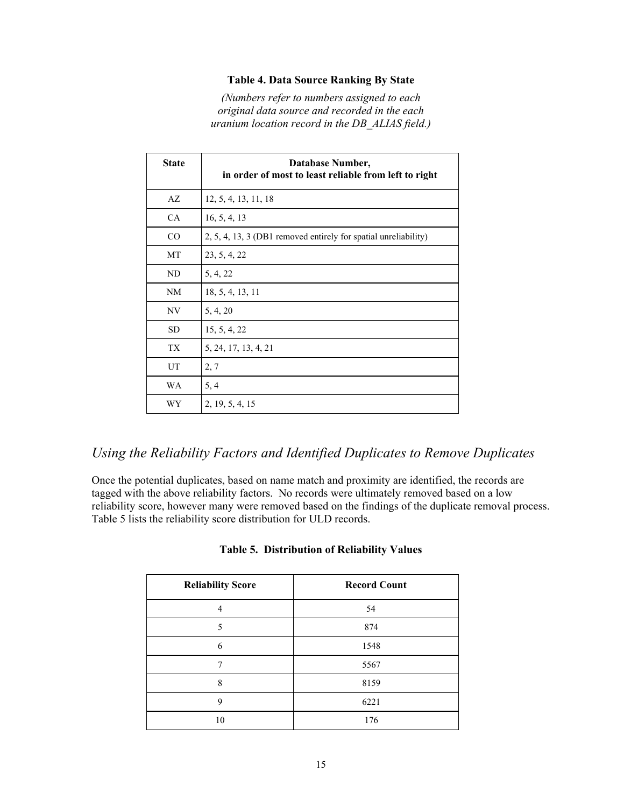### **Table 4. Data Source Ranking By State**

*(Numbers refer to numbers assigned to each original data source and recorded in the each uranium location record in the DB\_ALIAS field.)* 

| <b>State</b> | Database Number,<br>in order of most to least reliable from left to right |
|--------------|---------------------------------------------------------------------------|
| AZ           | 12, 5, 4, 13, 11, 18                                                      |
| CA           | 16, 5, 4, 13                                                              |
| CO           | 2, 5, 4, 13, 3 (DB1 removed entirely for spatial unreliability)           |
| MT           | 23, 5, 4, 22                                                              |
| ND           | 5, 4, 22                                                                  |
| NM           | 18, 5, 4, 13, 11                                                          |
| NV           | 5, 4, 20                                                                  |
| <b>SD</b>    | 15, 5, 4, 22                                                              |
| <b>TX</b>    | 5, 24, 17, 13, 4, 21                                                      |
| UT           | 2, 7                                                                      |
| WA           | 5, 4                                                                      |
| WY           | 2, 19, 5, 4, 15                                                           |

### *Using the Reliability Factors and Identified Duplicates to Remove Duplicates*

Once the potential duplicates, based on name match and proximity are identified, the records are tagged with the above reliability factors. No records were ultimately removed based on a low reliability score, however many were removed based on the findings of the duplicate removal process. Table 5 lists the reliability score distribution for ULD records.

| <b>Reliability Score</b> | <b>Record Count</b> |
|--------------------------|---------------------|
| 4                        | 54                  |
| $\sim$                   | 874                 |
| 6                        | 1548                |
|                          | 5567                |
| 8                        | 8159                |
| 9                        | 6221                |
| 10                       | 176                 |

### **Table 5. Distribution of Reliability Values**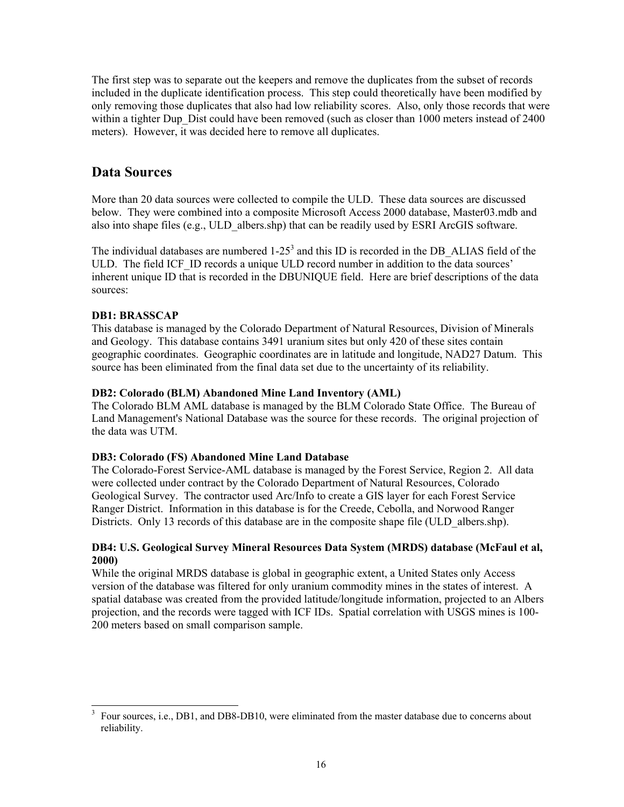The first step was to separate out the keepers and remove the duplicates from the subset of records included in the duplicate identification process. This step could theoretically have been modified by only removing those duplicates that also had low reliability scores. Also, only those records that were within a tighter Dup Dist could have been removed (such as closer than 1000 meters instead of 2400 meters). However, it was decided here to remove all duplicates.

### **Data Sources**

More than 20 data sources were collected to compile the ULD. These data sources are discussed below. They were combined into a composite Microsoft Access 2000 database, Master03.mdb and also into shape files (e.g., ULD\_albers.shp) that can be readily used by ESRI ArcGIS software.

The individual databases are numbered  $1-25<sup>3</sup>$  and this ID is recorded in the DB ALIAS field of the ULD. The field ICF ID records a unique ULD record number in addition to the data sources' inherent unique ID that is recorded in the DBUNIQUE field. Here are brief descriptions of the data sources:

### **DB1: BRASSCAP**

 $\overline{a}$ 

This database is managed by the Colorado Department of Natural Resources, Division of Minerals and Geology. This database contains 3491 uranium sites but only 420 of these sites contain geographic coordinates. Geographic coordinates are in latitude and longitude, NAD27 Datum. This source has been eliminated from the final data set due to the uncertainty of its reliability.

### **DB2: Colorado (BLM) Abandoned Mine Land Inventory (AML)**

The Colorado BLM AML database is managed by the BLM Colorado State Office. The Bureau of Land Management's National Database was the source for these records. The original projection of the data was UTM.

### **DB3: Colorado (FS) Abandoned Mine Land Database**

The Colorado-Forest Service-AML database is managed by the Forest Service, Region 2. All data were collected under contract by the Colorado Department of Natural Resources, Colorado Geological Survey. The contractor used Arc/Info to create a GIS layer for each Forest Service Ranger District. Information in this database is for the Creede, Cebolla, and Norwood Ranger Districts. Only 13 records of this database are in the composite shape file (ULD albers.shp).

### **DB4: U.S. Geological Survey Mineral Resources Data System (MRDS) database (McFaul et al, 2000)**

While the original MRDS database is global in geographic extent, a United States only Access version of the database was filtered for only uranium commodity mines in the states of interest. A spatial database was created from the provided latitude/longitude information, projected to an Albers projection, and the records were tagged with ICF IDs. Spatial correlation with USGS mines is 100- 200 meters based on small comparison sample.

<sup>3</sup> Four sources, i.e., DB1, and DB8-DB10, were eliminated from the master database due to concerns about reliability.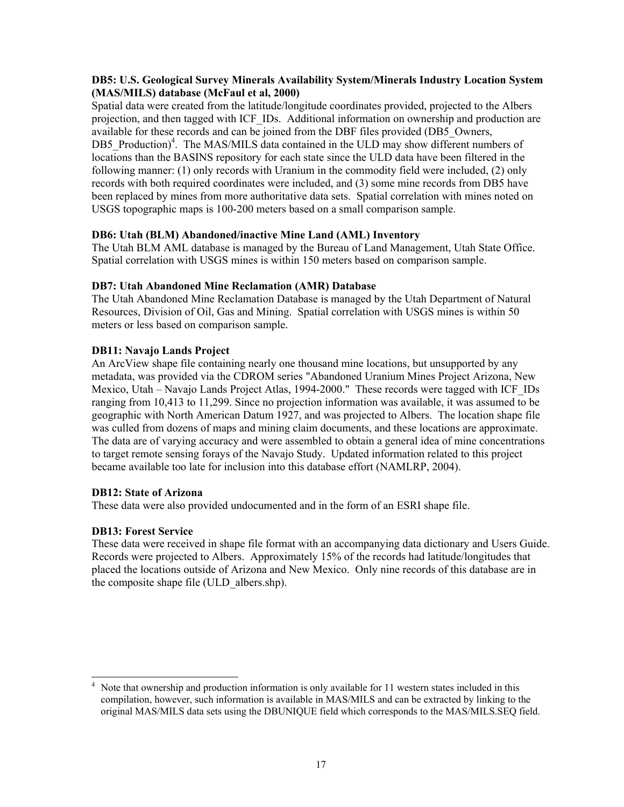### **DB5: U.S. Geological Survey Minerals Availability System/Minerals Industry Location System (MAS/MILS) database (McFaul et al, 2000)**

Spatial data were created from the latitude/longitude coordinates provided, projected to the Albers projection, and then tagged with ICF\_IDs. Additional information on ownership and production are available for these records and can be joined from the DBF files provided (DB5\_Owners, DB5 Production)<sup>4</sup>. The MAS/MILS data contained in the ULD may show different numbers of locations than the BASINS repository for each state since the ULD data have been filtered in the following manner: (1) only records with Uranium in the commodity field were included, (2) only records with both required coordinates were included, and (3) some mine records from DB5 have been replaced by mines from more authoritative data sets. Spatial correlation with mines noted on USGS topographic maps is 100-200 meters based on a small comparison sample.

### **DB6: Utah (BLM) Abandoned/inactive Mine Land (AML) Inventory**

The Utah BLM AML database is managed by the Bureau of Land Management, Utah State Office. Spatial correlation with USGS mines is within 150 meters based on comparison sample.

### **DB7: Utah Abandoned Mine Reclamation (AMR) Database**

The Utah Abandoned Mine Reclamation Database is managed by the Utah Department of Natural Resources, Division of Oil, Gas and Mining. Spatial correlation with USGS mines is within 50 meters or less based on comparison sample.

### **DB11: Navajo Lands Project**

An ArcView shape file containing nearly one thousand mine locations, but unsupported by any metadata, was provided via the CDROM series "Abandoned Uranium Mines Project Arizona, New Mexico, Utah – Navajo Lands Project Atlas, 1994-2000." These records were tagged with ICF IDs ranging from 10,413 to 11,299. Since no projection information was available, it was assumed to be geographic with North American Datum 1927, and was projected to Albers. The location shape file was culled from dozens of maps and mining claim documents, and these locations are approximate. The data are of varying accuracy and were assembled to obtain a general idea of mine concentrations to target remote sensing forays of the Navajo Study. Updated information related to this project became available too late for inclusion into this database effort (NAMLRP, 2004).

### **DB12: State of Arizona**

These data were also provided undocumented and in the form of an ESRI shape file.

### **DB13: Forest Service**

These data were received in shape file format with an accompanying data dictionary and Users Guide. Records were projected to Albers. Approximately 15% of the records had latitude/longitudes that placed the locations outside of Arizona and New Mexico. Only nine records of this database are in the composite shape file (ULD\_albers.shp).

 $\overline{a}$ 4 Note that ownership and production information is only available for 11 western states included in this compilation, however, such information is available in MAS/MILS and can be extracted by linking to the original MAS/MILS data sets using the DBUNIQUE field which corresponds to the MAS/MILS.SEQ field.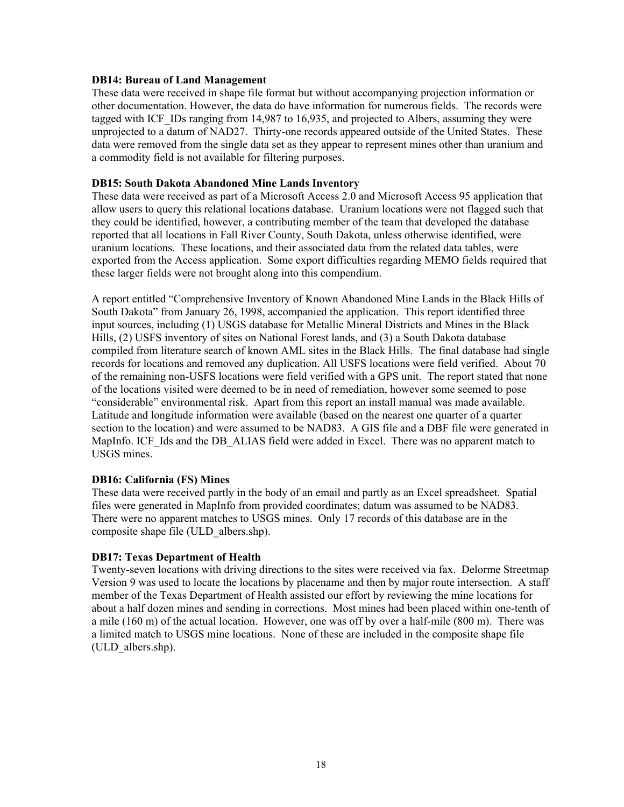#### **DB14: Bureau of Land Management**

These data were received in shape file format but without accompanying projection information or other documentation. However, the data do have information for numerous fields. The records were tagged with ICF. IDs ranging from 14,987 to 16,935, and projected to Albers, assuming they were unprojected to a datum of NAD27. Thirty-one records appeared outside of the United States. These data were removed from the single data set as they appear to represent mines other than uranium and a commodity field is not available for filtering purposes.

#### **DB15: South Dakota Abandoned Mine Lands Inventory**

These data were received as part of a Microsoft Access 2.0 and Microsoft Access 95 application that allow users to query this relational locations database. Uranium locations were not flagged such that they could be identified, however, a contributing member of the team that developed the database reported that all locations in Fall River County, South Dakota, unless otherwise identified, were uranium locations. These locations, and their associated data from the related data tables, were exported from the Access application. Some export difficulties regarding MEMO fields required that these larger fields were not brought along into this compendium.

A report entitled "Comprehensive Inventory of Known Abandoned Mine Lands in the Black Hills of South Dakota" from January 26, 1998, accompanied the application. This report identified three input sources, including (1) USGS database for Metallic Mineral Districts and Mines in the Black Hills, (2) USFS inventory of sites on National Forest lands, and (3) a South Dakota database compiled from literature search of known AML sites in the Black Hills. The final database had single records for locations and removed any duplication. All USFS locations were field verified. About 70 of the remaining non-USFS locations were field verified with a GPS unit. The report stated that none of the locations visited were deemed to be in need of remediation, however some seemed to pose "considerable" environmental risk. Apart from this report an install manual was made available. Latitude and longitude information were available (based on the nearest one quarter of a quarter section to the location) and were assumed to be NAD83. A GIS file and a DBF file were generated in MapInfo. ICF Ids and the DB ALIAS field were added in Excel. There was no apparent match to USGS mines.

### **DB16: California (FS) Mines**

These data were received partly in the body of an email and partly as an Excel spreadsheet. Spatial files were generated in MapInfo from provided coordinates; datum was assumed to be NAD83. There were no apparent matches to USGS mines. Only 17 records of this database are in the composite shape file (ULD\_albers.shp).

### **DB17: Texas Department of Health**

Twenty-seven locations with driving directions to the sites were received via fax. Delorme Streetmap Version 9 was used to locate the locations by placename and then by major route intersection. A staff member of the Texas Department of Health assisted our effort by reviewing the mine locations for about a half dozen mines and sending in corrections. Most mines had been placed within one-tenth of a mile (160 m) of the actual location. However, one was off by over a half-mile (800 m). There was a limited match to USGS mine locations. None of these are included in the composite shape file (ULD\_albers.shp).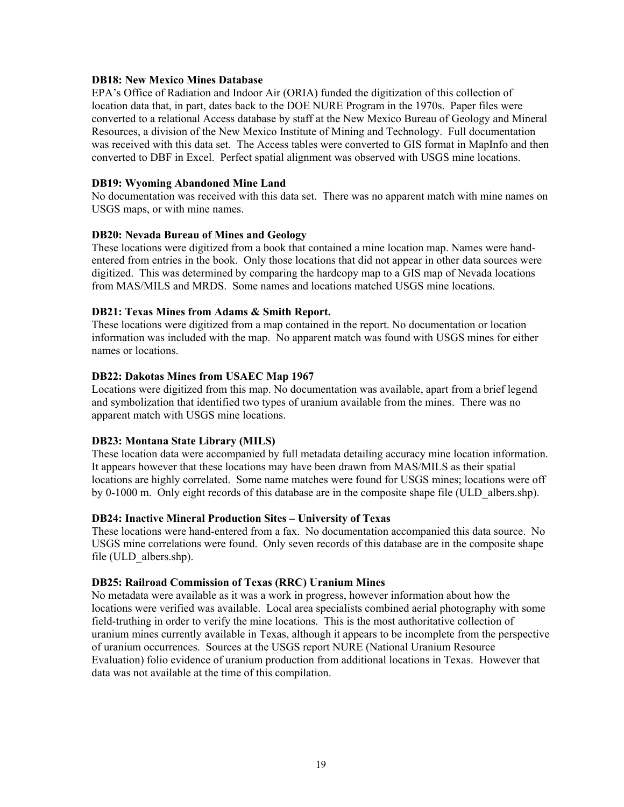#### **DB18: New Mexico Mines Database**

EPA's Office of Radiation and Indoor Air (ORIA) funded the digitization of this collection of location data that, in part, dates back to the DOE NURE Program in the 1970s. Paper files were converted to a relational Access database by staff at the New Mexico Bureau of Geology and Mineral Resources, a division of the New Mexico Institute of Mining and Technology. Full documentation was received with this data set. The Access tables were converted to GIS format in MapInfo and then converted to DBF in Excel. Perfect spatial alignment was observed with USGS mine locations.

#### **DB19: Wyoming Abandoned Mine Land**

No documentation was received with this data set. There was no apparent match with mine names on USGS maps, or with mine names.

#### **DB20: Nevada Bureau of Mines and Geology**

These locations were digitized from a book that contained a mine location map. Names were handentered from entries in the book. Only those locations that did not appear in other data sources were digitized. This was determined by comparing the hardcopy map to a GIS map of Nevada locations from MAS/MILS and MRDS. Some names and locations matched USGS mine locations.

### **DB21: Texas Mines from Adams & Smith Report.**

These locations were digitized from a map contained in the report. No documentation or location information was included with the map. No apparent match was found with USGS mines for either names or locations.

#### **DB22: Dakotas Mines from USAEC Map 1967**

Locations were digitized from this map. No documentation was available, apart from a brief legend and symbolization that identified two types of uranium available from the mines. There was no apparent match with USGS mine locations.

### **DB23: Montana State Library (MILS)**

These location data were accompanied by full metadata detailing accuracy mine location information. It appears however that these locations may have been drawn from MAS/MILS as their spatial locations are highly correlated. Some name matches were found for USGS mines; locations were off by 0-1000 m. Only eight records of this database are in the composite shape file (ULD\_albers.shp).

### **DB24: Inactive Mineral Production Sites – University of Texas**

These locations were hand-entered from a fax. No documentation accompanied this data source. No USGS mine correlations were found. Only seven records of this database are in the composite shape file (ULD\_albers.shp).

### **DB25: Railroad Commission of Texas (RRC) Uranium Mines**

No metadata were available as it was a work in progress, however information about how the locations were verified was available. Local area specialists combined aerial photography with some field-truthing in order to verify the mine locations. This is the most authoritative collection of uranium mines currently available in Texas, although it appears to be incomplete from the perspective of uranium occurrences. Sources at the USGS report NURE (National Uranium Resource Evaluation) folio evidence of uranium production from additional locations in Texas. However that data was not available at the time of this compilation.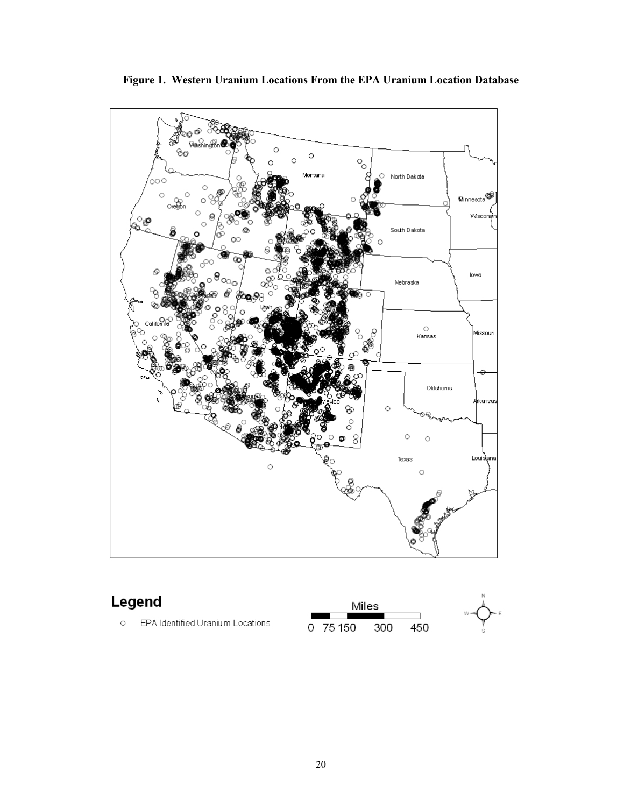

**Figure 1. Western Uranium Locations From the EPA Uranium Location Database**

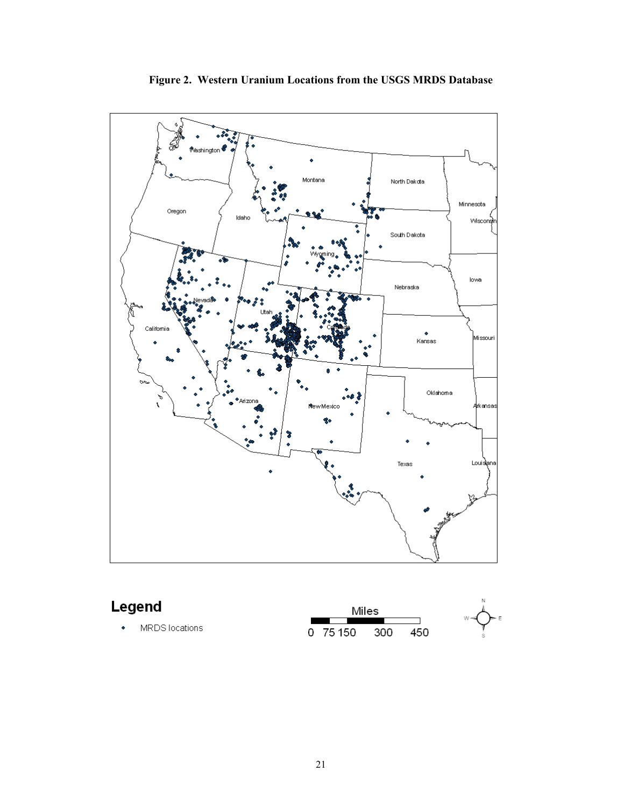

**Figure 2. Western Uranium Locations from the USGS MRDS Database**

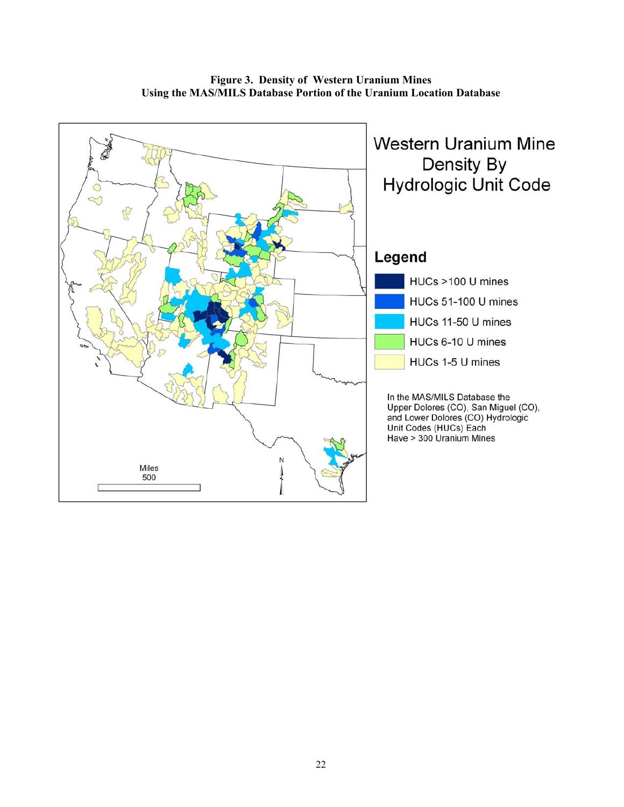

**Figure 3. Density of Western Uranium Mines Using the MAS/MILS Database Portion of the Uranium Location Database**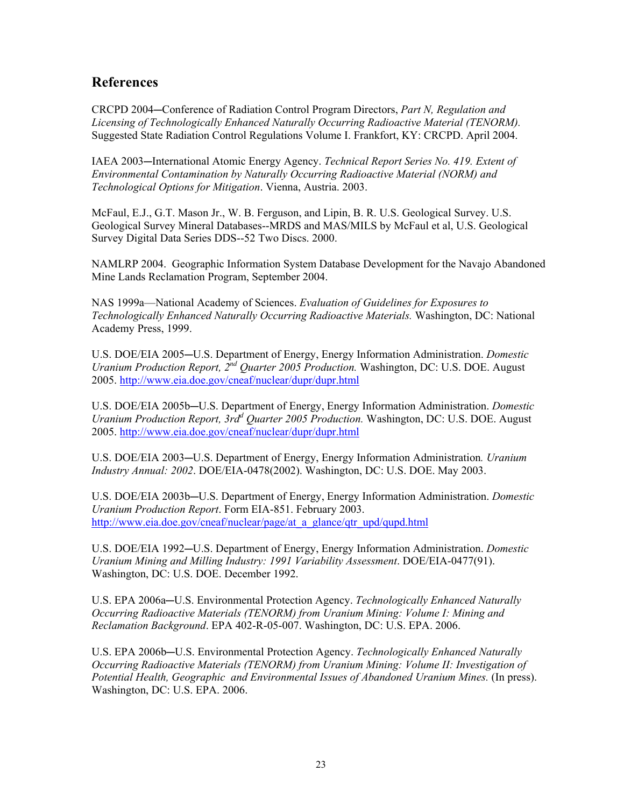### **References**

CRCPD 2004—Conference of Radiation Control Program Directors, *Part N, Regulation and Licensing of Technologically Enhanced Naturally Occurring Radioactive Material (TENORM).*  Suggested State Radiation Control Regulations Volume I. Frankfort, KY: CRCPD. April 2004.

IAEA 2003-International Atomic Energy Agency. *Technical Report Series No. 419. Extent of Environmental Contamination by Naturally Occurring Radioactive Material (NORM) and Technological Options for Mitigation*. Vienna, Austria. 2003.

McFaul, E.J., G.T. Mason Jr., W. B. Ferguson, and Lipin, B. R. U.S. Geological Survey. U.S. Geological Survey Mineral Databases--MRDS and MAS/MILS by McFaul et al, U.S. Geological Survey Digital Data Series DDS--52 Two Discs. 2000.

NAMLRP 2004. Geographic Information System Database Development for the Navajo Abandoned Mine Lands Reclamation Program, September 2004.

NAS 1999a—National Academy of Sciences. *Evaluation of Guidelines for Exposures to Technologically Enhanced Naturally Occurring Radioactive Materials.* Washington, DC: National Academy Press, 1999.

U.S. DOE/EIA 2005—U.S. Department of Energy, Energy Information Administration. *Domestic Uranium Production Report, 2nd Quarter 2005 Production.* Washington, DC: U.S. DOE. August 2005. http://www.eia.doe.gov/cneaf/nuclear/dupr/dupr.html

U.S. DOE/EIA 2005b-U.S. Department of Energy, Energy Information Administration. *Domestic Uranium Production Report, 3rd<sup>d</sup> Quarter 2005 Production.* Washington, DC: U.S. DOE. August 2005. http://www.eia.doe.gov/cneaf/nuclear/dupr/dupr.html

U.S. DOE/EIA 2003-U.S. Department of Energy, Energy Information Administration. *Uranium Industry Annual: 2002*. DOE/EIA-0478(2002). Washington, DC: U.S. DOE. May 2003.

U.S. DOE/EIA 2003b-U.S. Department of Energy, Energy Information Administration. *Domestic Uranium Production Report*. Form EIA-851. February 2003. http://www.eia.doe.gov/cneaf/nuclear/page/at\_a\_glance/qtr\_upd/qupd.html

U.S. DOE/EIA 1992—U.S. Department of Energy, Energy Information Administration. *Domestic Uranium Mining and Milling Industry: 1991 Variability Assessment*. DOE/EIA-0477(91). Washington, DC: U.S. DOE. December 1992.

U.S. EPA 2006a–U.S. Environmental Protection Agency. *Technologically Enhanced Naturally Occurring Radioactive Materials (TENORM) from Uranium Mining: Volume I: Mining and Reclamation Background*. EPA 402-R-05-007. Washington, DC: U.S. EPA. 2006.

U.S. EPA 2006b—U.S. Environmental Protection Agency. *Technologically Enhanced Naturally Occurring Radioactive Materials (TENORM) from Uranium Mining: Volume II: Investigation of Potential Health, Geographic and Environmental Issues of Abandoned Uranium Mines.* (In press). Washington, DC: U.S. EPA. 2006.